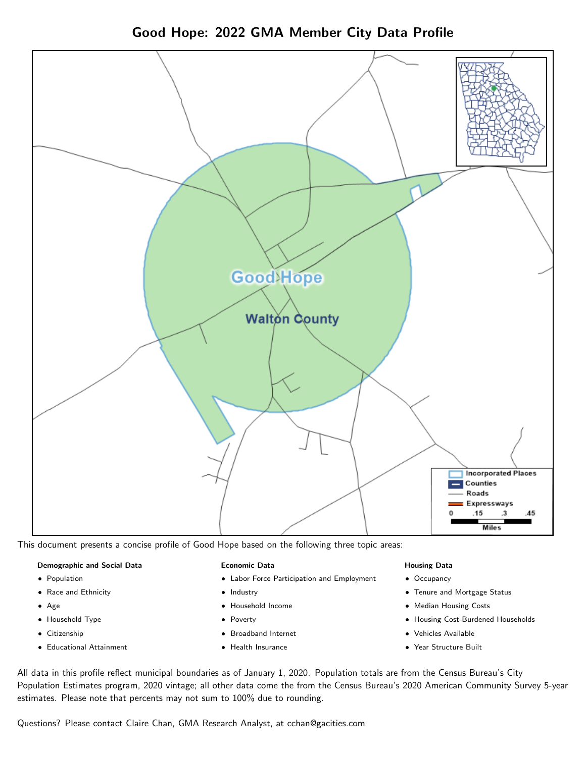Good Hope: 2022 GMA Member City Data Profile



This document presents a concise profile of Good Hope based on the following three topic areas:

#### Demographic and Social Data

- **•** Population
- Race and Ethnicity
- Age
- Household Type
- **Citizenship**
- Educational Attainment

#### Economic Data

- Labor Force Participation and Employment
- Industry
- Household Income
- Poverty
- Broadband Internet
- Health Insurance

#### Housing Data

- Occupancy
- Tenure and Mortgage Status
- Median Housing Costs
- Housing Cost-Burdened Households
- Vehicles Available
- Year Structure Built

All data in this profile reflect municipal boundaries as of January 1, 2020. Population totals are from the Census Bureau's City Population Estimates program, 2020 vintage; all other data come the from the Census Bureau's 2020 American Community Survey 5-year estimates. Please note that percents may not sum to 100% due to rounding.

Questions? Please contact Claire Chan, GMA Research Analyst, at [cchan@gacities.com.](mailto:cchan@gacities.com)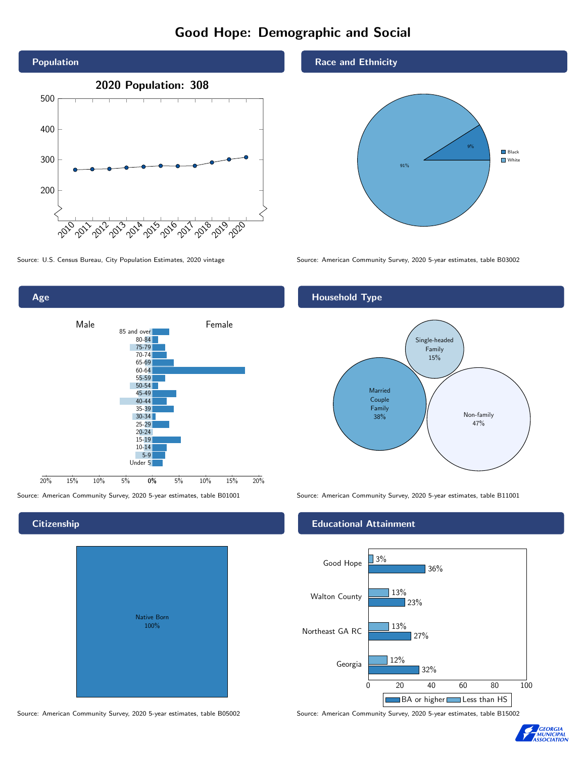# Good Hope: Demographic and Social





## **Citizenship**

| Native Born<br>100% |  |
|---------------------|--|
|                     |  |

Race and Ethnicity



Source: U.S. Census Bureau, City Population Estimates, 2020 vintage Source: American Community Survey, 2020 5-year estimates, table B03002

### Household Type



Source: American Community Survey, 2020 5-year estimates, table B01001 Source: American Community Survey, 2020 5-year estimates, table B11001

#### Educational Attainment



Source: American Community Survey, 2020 5-year estimates, table B05002 Source: American Community Survey, 2020 5-year estimates, table B15002

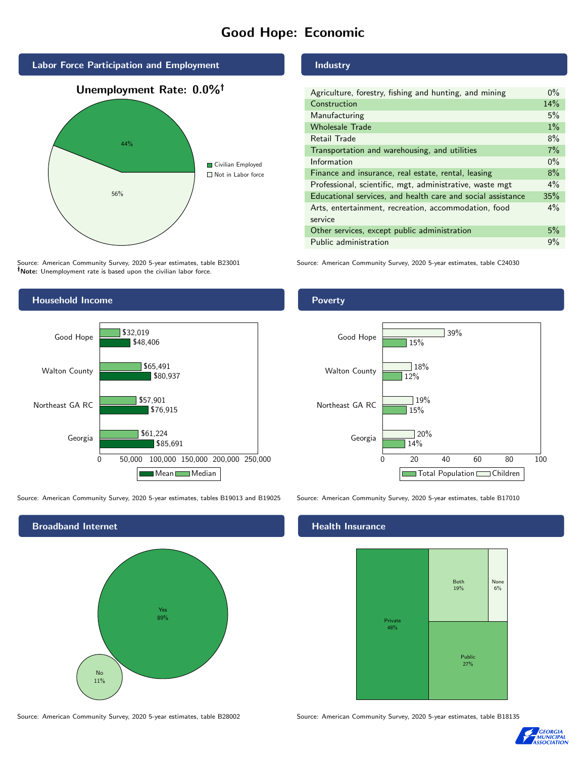# Good Hope: Economic



Source: American Community Survey, 2020 5-year estimates, table B23001 Note: Unemployment rate is based upon the civilian labor force.

## **Industry**

| Agriculture, forestry, fishing and hunting, and mining      | $0\%$ |
|-------------------------------------------------------------|-------|
| Construction                                                |       |
| Manufacturing                                               | 5%    |
| <b>Wholesale Trade</b>                                      | $1\%$ |
| Retail Trade                                                | 8%    |
| Transportation and warehousing, and utilities               |       |
| Information                                                 | $0\%$ |
| Finance and insurance, real estate, rental, leasing         |       |
| Professional, scientific, mgt, administrative, waste mgt    |       |
| Educational services, and health care and social assistance |       |
| Arts, entertainment, recreation, accommodation, food        |       |
| service                                                     |       |
| Other services, except public administration                |       |
| Public administration                                       |       |

Source: American Community Survey, 2020 5-year estimates, table C24030



Source: American Community Survey, 2020 5-year estimates, tables B19013 and B19025 Source: American Community Survey, 2020 5-year estimates, table B17010



Source: American Community Survey, 2020 5-year estimates, table B28002 Source: American Community Survey, 2020 5-year estimates, table B18135

#### Poverty



#### Health Insurance